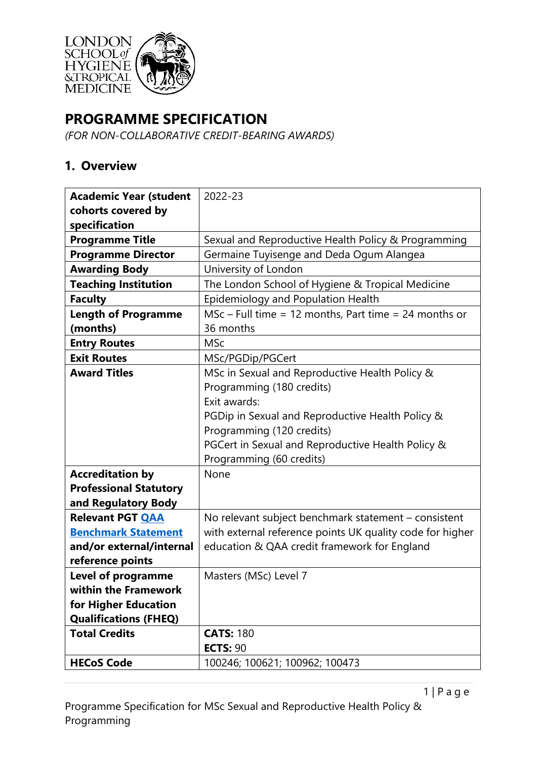

# **PROGRAMME SPECIFICATION**

*(FOR NON-COLLABORATIVE CREDIT-BEARING AWARDS)*

## **1. Overview**

| <b>Academic Year (student</b> | 2022-23                                                   |  |  |
|-------------------------------|-----------------------------------------------------------|--|--|
| cohorts covered by            |                                                           |  |  |
| specification                 |                                                           |  |  |
| <b>Programme Title</b>        | Sexual and Reproductive Health Policy & Programming       |  |  |
| <b>Programme Director</b>     | Germaine Tuyisenge and Deda Ogum Alangea                  |  |  |
| <b>Awarding Body</b>          | University of London                                      |  |  |
| <b>Teaching Institution</b>   | The London School of Hygiene & Tropical Medicine          |  |  |
| <b>Faculty</b>                | Epidemiology and Population Health                        |  |  |
| <b>Length of Programme</b>    | $MSc$ – Full time = 12 months, Part time = 24 months or   |  |  |
| (months)                      | 36 months                                                 |  |  |
| <b>Entry Routes</b>           | <b>MSc</b>                                                |  |  |
| <b>Exit Routes</b>            | MSc/PGDip/PGCert                                          |  |  |
| <b>Award Titles</b>           | MSc in Sexual and Reproductive Health Policy &            |  |  |
|                               | Programming (180 credits)                                 |  |  |
|                               | Exit awards:                                              |  |  |
|                               | PGDip in Sexual and Reproductive Health Policy &          |  |  |
|                               | Programming (120 credits)                                 |  |  |
|                               | PGCert in Sexual and Reproductive Health Policy &         |  |  |
|                               | Programming (60 credits)                                  |  |  |
| <b>Accreditation by</b>       | None                                                      |  |  |
| <b>Professional Statutory</b> |                                                           |  |  |
| and Regulatory Body           |                                                           |  |  |
| <b>Relevant PGT QAA</b>       | No relevant subject benchmark statement - consistent      |  |  |
| <b>Benchmark Statement</b>    | with external reference points UK quality code for higher |  |  |
| and/or external/internal      | education & QAA credit framework for England              |  |  |
| reference points              |                                                           |  |  |
| <b>Level of programme</b>     | Masters (MSc) Level 7                                     |  |  |
| within the Framework          |                                                           |  |  |
| for Higher Education          |                                                           |  |  |
| <b>Qualifications (FHEQ)</b>  |                                                           |  |  |
| <b>Total Credits</b>          | <b>CATS: 180</b>                                          |  |  |
|                               | <b>ECTS: 90</b>                                           |  |  |
| <b>HECoS Code</b>             | 100246; 100621; 100962; 100473                            |  |  |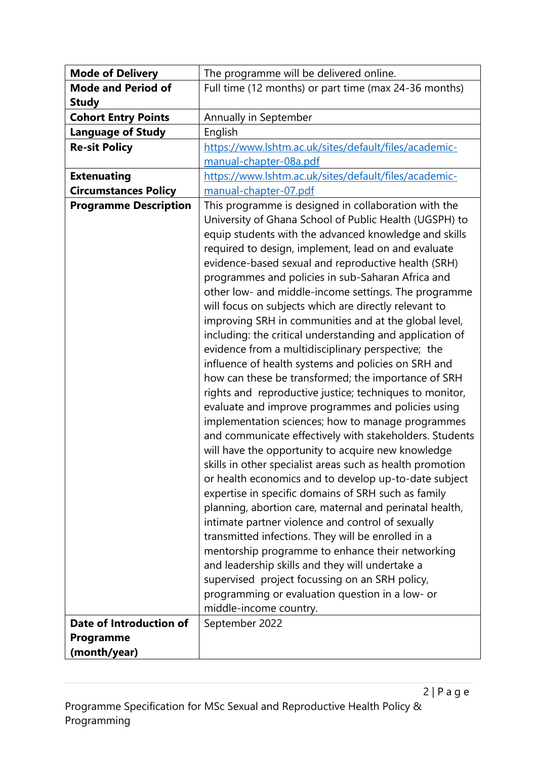| <b>Mode of Delivery</b>      | The programme will be delivered online.                                                                                                                                                                                                                                                                                                                                                                                                                                                                                                                                                                                                                                                                                                                                                                                                                                                                                    |  |  |
|------------------------------|----------------------------------------------------------------------------------------------------------------------------------------------------------------------------------------------------------------------------------------------------------------------------------------------------------------------------------------------------------------------------------------------------------------------------------------------------------------------------------------------------------------------------------------------------------------------------------------------------------------------------------------------------------------------------------------------------------------------------------------------------------------------------------------------------------------------------------------------------------------------------------------------------------------------------|--|--|
| <b>Mode and Period of</b>    | Full time (12 months) or part time (max 24-36 months)                                                                                                                                                                                                                                                                                                                                                                                                                                                                                                                                                                                                                                                                                                                                                                                                                                                                      |  |  |
| <b>Study</b>                 |                                                                                                                                                                                                                                                                                                                                                                                                                                                                                                                                                                                                                                                                                                                                                                                                                                                                                                                            |  |  |
| <b>Cohort Entry Points</b>   | Annually in September                                                                                                                                                                                                                                                                                                                                                                                                                                                                                                                                                                                                                                                                                                                                                                                                                                                                                                      |  |  |
| <b>Language of Study</b>     | English                                                                                                                                                                                                                                                                                                                                                                                                                                                                                                                                                                                                                                                                                                                                                                                                                                                                                                                    |  |  |
| <b>Re-sit Policy</b>         | https://www.lshtm.ac.uk/sites/default/files/academic-                                                                                                                                                                                                                                                                                                                                                                                                                                                                                                                                                                                                                                                                                                                                                                                                                                                                      |  |  |
|                              | manual-chapter-08a.pdf                                                                                                                                                                                                                                                                                                                                                                                                                                                                                                                                                                                                                                                                                                                                                                                                                                                                                                     |  |  |
| <b>Extenuating</b>           | https://www.lshtm.ac.uk/sites/default/files/academic-                                                                                                                                                                                                                                                                                                                                                                                                                                                                                                                                                                                                                                                                                                                                                                                                                                                                      |  |  |
| <b>Circumstances Policy</b>  | manual-chapter-07.pdf                                                                                                                                                                                                                                                                                                                                                                                                                                                                                                                                                                                                                                                                                                                                                                                                                                                                                                      |  |  |
| <b>Programme Description</b> | This programme is designed in collaboration with the<br>University of Ghana School of Public Health (UGSPH) to<br>equip students with the advanced knowledge and skills<br>required to design, implement, lead on and evaluate<br>evidence-based sexual and reproductive health (SRH)<br>programmes and policies in sub-Saharan Africa and<br>other low- and middle-income settings. The programme<br>will focus on subjects which are directly relevant to<br>improving SRH in communities and at the global level,<br>including: the critical understanding and application of<br>evidence from a multidisciplinary perspective; the<br>influence of health systems and policies on SRH and<br>how can these be transformed; the importance of SRH<br>rights and reproductive justice; techniques to monitor,<br>evaluate and improve programmes and policies using<br>implementation sciences; how to manage programmes |  |  |
|                              | and communicate effectively with stakeholders. Students<br>will have the opportunity to acquire new knowledge<br>skills in other specialist areas such as health promotion<br>or health economics and to develop up-to-date subject<br>expertise in specific domains of SRH such as family<br>planning, abortion care, maternal and perinatal health,<br>intimate partner violence and control of sexually<br>transmitted infections. They will be enrolled in a<br>mentorship programme to enhance their networking<br>and leadership skills and they will undertake a<br>supervised project focussing on an SRH policy,<br>programming or evaluation question in a low- or<br>middle-income country.                                                                                                                                                                                                                     |  |  |
| Date of Introduction of      | September 2022                                                                                                                                                                                                                                                                                                                                                                                                                                                                                                                                                                                                                                                                                                                                                                                                                                                                                                             |  |  |
| Programme                    |                                                                                                                                                                                                                                                                                                                                                                                                                                                                                                                                                                                                                                                                                                                                                                                                                                                                                                                            |  |  |
| (month/year)                 |                                                                                                                                                                                                                                                                                                                                                                                                                                                                                                                                                                                                                                                                                                                                                                                                                                                                                                                            |  |  |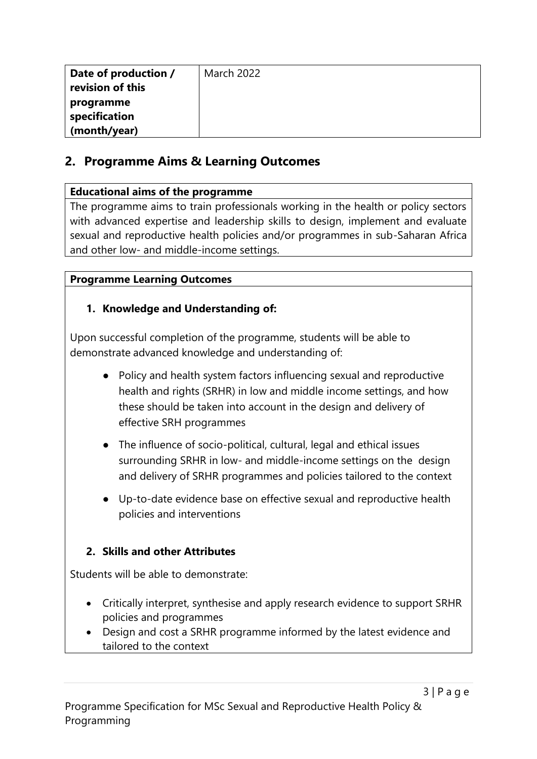| Date of production /<br>revision of this | <b>March 2022</b> |
|------------------------------------------|-------------------|
| programme<br>specification               |                   |
| (month/year)                             |                   |

## **2. Programme Aims & Learning Outcomes**

## **Educational aims of the programme**

The programme aims to train professionals working in the health or policy sectors with advanced expertise and leadership skills to design, implement and evaluate sexual and reproductive health policies and/or programmes in sub-Saharan Africa and other low- and middle-income settings.

## **Programme Learning Outcomes**

## **1. Knowledge and Understanding of:**

Upon successful completion of the programme, students will be able to demonstrate advanced knowledge and understanding of:

- Policy and health system factors influencing sexual and reproductive health and rights (SRHR) in low and middle income settings, and how these should be taken into account in the design and delivery of effective SRH programmes
- The influence of socio-political, cultural, legal and ethical issues surrounding SRHR in low- and middle-income settings on the design and delivery of SRHR programmes and policies tailored to the context
- Up-to-date evidence base on effective sexual and reproductive health policies and interventions

## **2. Skills and other Attributes**

Students will be able to demonstrate:

- Critically interpret, synthesise and apply research evidence to support SRHR policies and programmes
- Design and cost a SRHR programme informed by the latest evidence and tailored to the context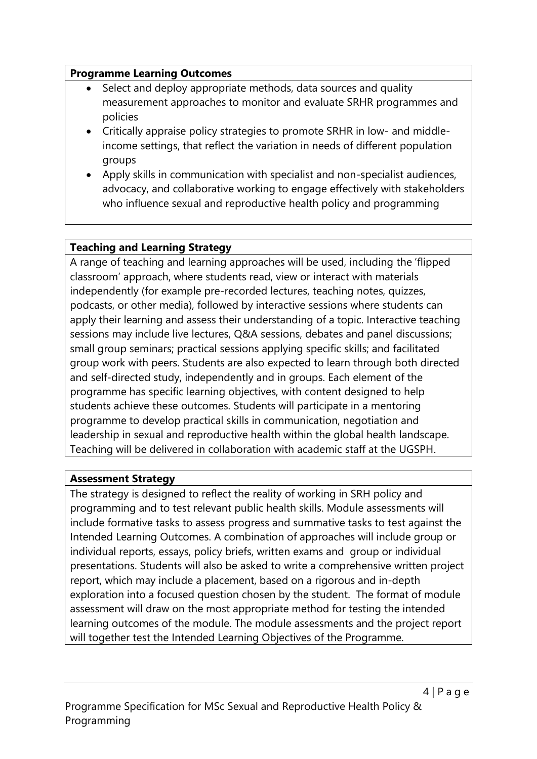### **Programme Learning Outcomes**

- Select and deploy appropriate methods, data sources and quality measurement approaches to monitor and evaluate SRHR programmes and policies
- Critically appraise policy strategies to promote SRHR in low- and middleincome settings, that reflect the variation in needs of different population groups
- Apply skills in communication with specialist and non-specialist audiences, advocacy, and collaborative working to engage effectively with stakeholders who influence sexual and reproductive health policy and programming

## **Teaching and Learning Strategy**

A range of teaching and learning approaches will be used, including the 'flipped classroom' approach, where students read, view or interact with materials independently (for example pre-recorded lectures, teaching notes, quizzes, podcasts, or other media), followed by interactive sessions where students can apply their learning and assess their understanding of a topic. Interactive teaching sessions may include live lectures, Q&A sessions, debates and panel discussions; small group seminars; practical sessions applying specific skills; and facilitated group work with peers. Students are also expected to learn through both directed and self-directed study, independently and in groups. Each element of the programme has specific learning objectives, with content designed to help students achieve these outcomes. Students will participate in a mentoring programme to develop practical skills in communication, negotiation and leadership in sexual and reproductive health within the global health landscape. Teaching will be delivered in collaboration with academic staff at the UGSPH.

### **Assessment Strategy**

The strategy is designed to reflect the reality of working in SRH policy and programming and to test relevant public health skills. Module assessments will include formative tasks to assess progress and summative tasks to test against the Intended Learning Outcomes. A combination of approaches will include group or individual reports, essays, policy briefs, written exams and group or individual presentations. Students will also be asked to write a comprehensive written project report, which may include a placement, based on a rigorous and in-depth exploration into a focused question chosen by the student. The format of module assessment will draw on the most appropriate method for testing the intended learning outcomes of the module. The module assessments and the project report will together test the Intended Learning Objectives of the Programme.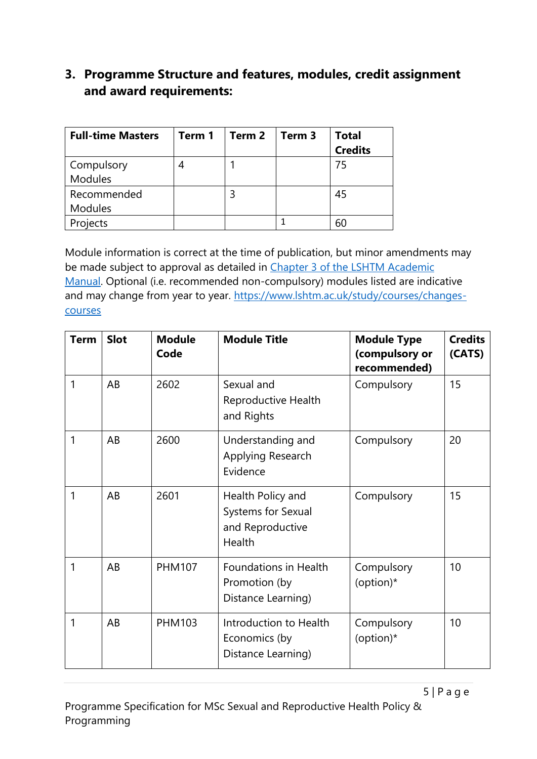## **3. Programme Structure and features, modules, credit assignment and award requirements:**

| <b>Full-time Masters</b>     | Term 1 | Term 2 | Term 3 | <b>Total</b><br><b>Credits</b> |
|------------------------------|--------|--------|--------|--------------------------------|
| Compulsory<br><b>Modules</b> | 4      |        |        | 75                             |
| Recommended                  |        |        |        | 45                             |
| <b>Modules</b>               |        |        |        |                                |
| Projects                     |        |        |        | 60                             |

Module information is correct at the time of publication, but minor amendments may be made subject to approval as detailed in Chapter 3 of the LSHTM Academic [Manual.](https://www.lshtm.ac.uk/sites/default/files/academic-manual-chapter-03.pdf) Optional (i.e. recommended non-compulsory) modules listed are indicative and may change from year to year. [https://www.lshtm.ac.uk/study/courses/changes](https://www.lshtm.ac.uk/study/courses/changes-courses)[courses](https://www.lshtm.ac.uk/study/courses/changes-courses)

| <b>Term</b> | <b>Slot</b> | <b>Module</b><br>Code | <b>Module Title</b>                                                   | <b>Module Type</b><br>(compulsory or<br>recommended) | <b>Credits</b><br>(CATS) |
|-------------|-------------|-----------------------|-----------------------------------------------------------------------|------------------------------------------------------|--------------------------|
| 1           | AB          | 2602                  | Sexual and<br>Reproductive Health<br>and Rights                       | Compulsory                                           | 15                       |
| 1           | AB          | 2600                  | Understanding and<br>Applying Research<br>Evidence                    | Compulsory                                           | 20                       |
| 1           | AB          | 2601                  | Health Policy and<br>Systems for Sexual<br>and Reproductive<br>Health | Compulsory                                           | 15                       |
| 1           | AB          | <b>PHM107</b>         | Foundations in Health<br>Promotion (by<br>Distance Learning)          | Compulsory<br>(option)*                              | 10                       |
| 1           | AB          | <b>PHM103</b>         | Introduction to Health<br>Economics (by<br>Distance Learning)         | Compulsory<br>(option)*                              | 10                       |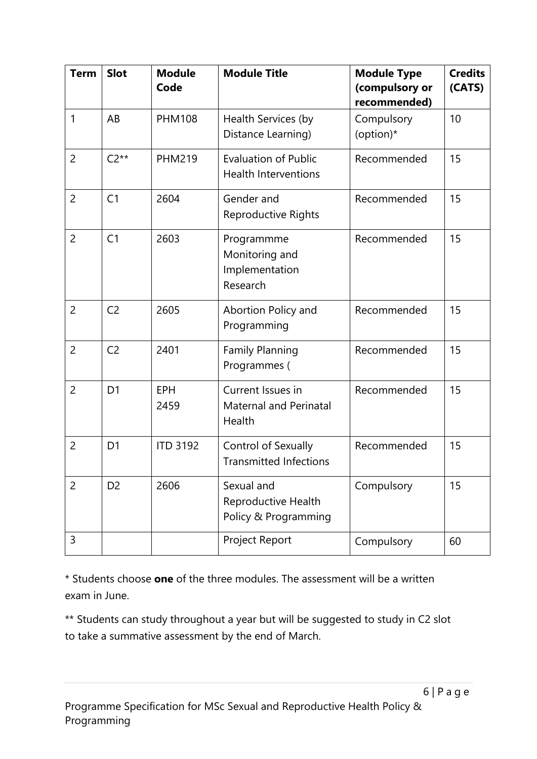| <b>Term</b>    | <b>Slot</b>    | <b>Module</b><br>Code | <b>Module Title</b>                                                       | <b>Module Type</b><br>(compulsory or<br>recommended) | <b>Credits</b><br>(CATS) |
|----------------|----------------|-----------------------|---------------------------------------------------------------------------|------------------------------------------------------|--------------------------|
| $\mathbf{1}$   | AB             | <b>PHM108</b>         | Health Services (by<br>Distance Learning)                                 | Compulsory<br>(option)*                              | 10                       |
| $\overline{2}$ | $C2**$         | <b>PHM219</b>         | <b>Evaluation of Public</b><br>Recommended<br><b>Health Interventions</b> |                                                      | 15                       |
| $\overline{2}$ | C <sub>1</sub> | 2604                  | Gender and<br>Reproductive Rights                                         | Recommended                                          | 15                       |
| $\overline{2}$ | C <sub>1</sub> | 2603                  | Programmme<br>Monitoring and<br>Implementation<br>Research                | Recommended                                          | 15                       |
| $\overline{2}$ | C <sub>2</sub> | 2605                  | Abortion Policy and<br>Programming                                        | Recommended                                          | 15                       |
| $\overline{2}$ | C <sub>2</sub> | 2401                  | <b>Family Planning</b><br>Programmes (                                    | Recommended                                          | 15                       |
| $\overline{2}$ | D <sub>1</sub> | <b>EPH</b><br>2459    | Current Issues in<br>Maternal and Perinatal<br>Health                     | Recommended                                          | 15                       |
| $\overline{2}$ | D <sub>1</sub> | <b>ITD 3192</b>       | Control of Sexually<br><b>Transmitted Infections</b>                      | Recommended                                          | 15                       |
| $\overline{2}$ | D <sub>2</sub> | 2606                  | Sexual and<br>Reproductive Health<br>Policy & Programming                 | Compulsory                                           | 15                       |
| 3              |                |                       | Project Report                                                            | Compulsory                                           | 60                       |

\* Students choose **one** of the three modules. The assessment will be a written exam in June.

\*\* Students can study throughout a year but will be suggested to study in C2 slot to take a summative assessment by the end of March.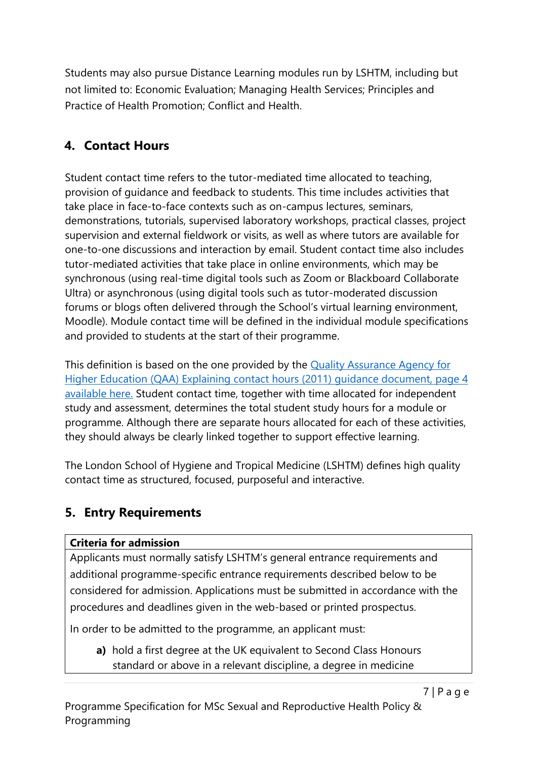Students may also pursue Distance Learning modules run by LSHTM, including but not limited to: Economic Evaluation; Managing Health Services; Principles and Practice of Health Promotion; Conflict and Health.

# **4. Contact Hours**

Student contact time refers to the tutor-mediated time allocated to teaching, provision of guidance and feedback to students. This time includes activities that take place in face-to-face contexts such as on-campus lectures, seminars, demonstrations, tutorials, supervised laboratory workshops, practical classes, project supervision and external fieldwork or visits, as well as where tutors are available for one-to-one discussions and interaction by email. Student contact time also includes tutor-mediated activities that take place in online environments, which may be synchronous (using real-time digital tools such as Zoom or Blackboard Collaborate Ultra) or asynchronous (using digital tools such as tutor-moderated discussion forums or blogs often delivered through the School's virtual learning environment, Moodle). Module contact time will be defined in the individual module specifications and provided to students at the start of their programme.

This definition is based on the one provided by the [Quality Assurance Agency for](https://www.qaa.ac.uk/docs/qaa/quality-code/contact-hours-guidance.pdf)  [Higher Education \(QAA\) Explaining contact hours \(2011\)](https://www.qaa.ac.uk/docs/qaa/quality-code/contact-hours-guidance.pdf) guidance document, page 4 [available here.](https://www.qaa.ac.uk/docs/qaa/quality-code/contact-hours-guidance.pdf) Student contact time, together with time allocated for independent study and assessment, determines the total student study hours for a module or programme. Although there are separate hours allocated for each of these activities, they should always be clearly linked together to support effective learning.

The London School of Hygiene and Tropical Medicine (LSHTM) defines high quality contact time as structured, focused, purposeful and interactive.

## **5. Entry Requirements**

## **Criteria for admission**

Applicants must normally satisfy LSHTM's general entrance requirements and additional programme-specific entrance requirements described below to be considered for admission. Applications must be submitted in accordance with the procedures and deadlines given in the web-based or printed prospectus.

In order to be admitted to the programme, an applicant must:

**a)** hold a first degree at the UK equivalent to Second Class Honours standard or above in a relevant discipline, a degree in medicine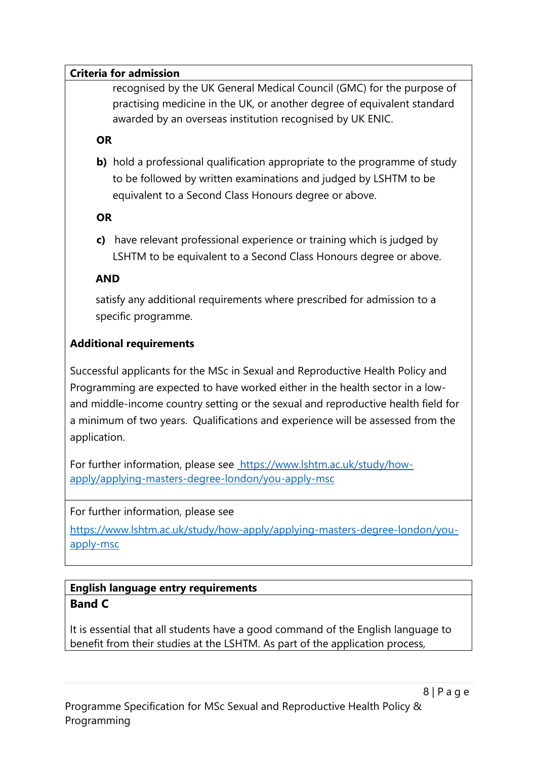#### **Criteria for admission**

recognised by the UK General Medical Council (GMC) for the purpose of practising medicine in the UK, or another degree of equivalent standard awarded by an overseas institution recognised by UK ENIC.

### **OR**

**b)** hold a professional qualification appropriate to the programme of study to be followed by written examinations and judged by LSHTM to be equivalent to a Second Class Honours degree or above.

### **OR**

**c)** have relevant professional experience or training which is judged by LSHTM to be equivalent to a Second Class Honours degree or above.

### **AND**

satisfy any additional requirements where prescribed for admission to a specific programme.

### **Additional requirements**

Successful applicants for the MSc in Sexual and Reproductive Health Policy and Programming are expected to have worked either in the health sector in a lowand middle-income country setting or the sexual and reproductive health field for a minimum of two years. Qualifications and experience will be assessed from the application.

For further information, please see [https://www.lshtm.ac.uk/study/how](https://www.lshtm.ac.uk/study/how-apply/applying-masters-degree-london/you-apply-msc)[apply/applying-masters-degree-london/you-apply-msc](https://www.lshtm.ac.uk/study/how-apply/applying-masters-degree-london/you-apply-msc)

### For further information, please see

[https://www.lshtm.ac.uk/study/how-apply/applying-masters-degree-london/you](https://www.lshtm.ac.uk/study/how-apply/applying-masters-degree-london/you-apply-msc)[apply-msc](https://www.lshtm.ac.uk/study/how-apply/applying-masters-degree-london/you-apply-msc)

### **English language entry requirements Band C**

It is essential that all students have a good command of the English language to benefit from their studies at the LSHTM. As part of the application process,